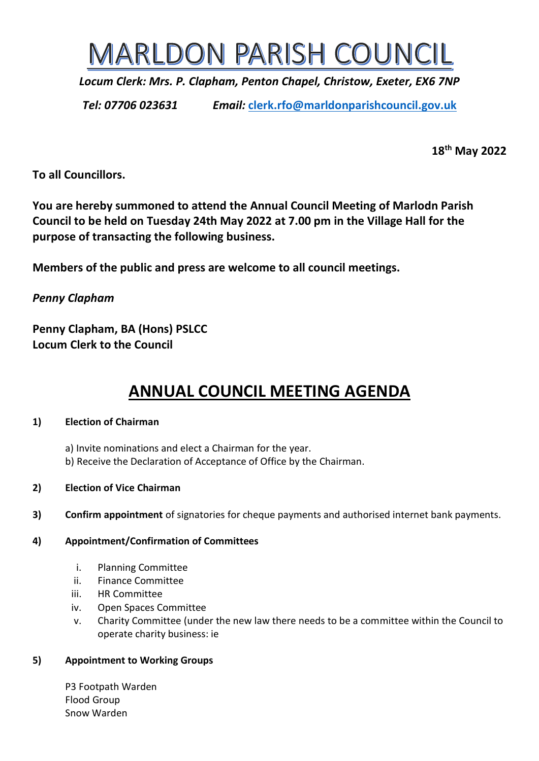

*Locum Clerk: Mrs. P. Clapham, Penton Chapel, Christow, Exeter, EX6 7NP*

*Tel: 07706 023631 Email:* **[clerk.rfo@marldonparishcouncil.gov.uk](mailto:clerk.rfo@marldonparishcouncil.gov.uk)**

**18th May 2022**

**To all Councillors.**

**You are hereby summoned to attend the Annual Council Meeting of Marlodn Parish Council to be held on Tuesday 24th May 2022 at 7.00 pm in the Village Hall for the purpose of transacting the following business.**

**Members of the public and press are welcome to all council meetings.**

*Penny Clapham*

**Penny Clapham, BA (Hons) PSLCC Locum Clerk to the Council**

# **ANNUAL COUNCIL MEETING AGENDA**

## **1) Election of Chairman**

- a) Invite nominations and elect a Chairman for the year. b) Receive the Declaration of Acceptance of Office by the Chairman.
- **2) Election of Vice Chairman**
- **3) Confirm appointment** of signatories for cheque payments and authorised internet bank payments.

## **4) Appointment/Confirmation of Committees**

- i. Planning Committee
- ii. Finance Committee
- iii. HR Committee
- iv. Open Spaces Committee
- v. Charity Committee (under the new law there needs to be a committee within the Council to operate charity business: ie

# **5) Appointment to Working Groups**

P3 Footpath Warden Flood Group Snow Warden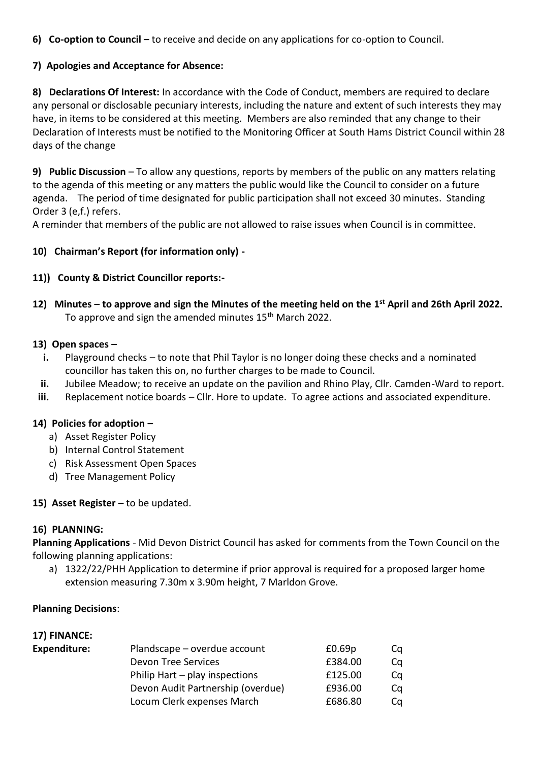**6) Co-option to Council –** to receive and decide on any applications for co-option to Council.

## **7) Apologies and Acceptance for Absence:**

**8) Declarations Of Interest:** In accordance with the Code of Conduct, members are required to declare any personal or disclosable pecuniary interests, including the nature and extent of such interests they may have, in items to be considered at this meeting. Members are also reminded that any change to their Declaration of Interests must be notified to the Monitoring Officer at South Hams District Council within 28 days of the change

**9) Public Discussion** – To allow any questions, reports by members of the public on any matters relating to the agenda of this meeting or any matters the public would like the Council to consider on a future agenda. The period of time designated for public participation shall not exceed 30 minutes. Standing Order 3 (e,f.) refers.

A reminder that members of the public are not allowed to raise issues when Council is in committee.

## **10) Chairman's Report (for information only) -**

## **11)) County & District Councillor reports:-**

**12) Minutes – to approve and sign the Minutes of the meeting held on the 1 st April and 26th April 2022.** To approve and sign the amended minutes 15<sup>th</sup> March 2022.

## **13) Open spaces –**

- **i.** Playground checks to note that Phil Taylor is no longer doing these checks and a nominated councillor has taken this on, no further charges to be made to Council.
- **ii.** Jubilee Meadow; to receive an update on the pavilion and Rhino Play, Cllr. Camden-Ward to report.
- **iii.** Replacement notice boards Cllr. Hore to update. To agree actions and associated expenditure.

## **14) Policies for adoption –**

- a) Asset Register Policy
- b) Internal Control Statement
- c) Risk Assessment Open Spaces
- d) Tree Management Policy

## **15) Asset Register –** to be updated.

#### **16) PLANNING:**

**Planning Applications** - Mid Devon District Council has asked for comments from the Town Council on the following planning applications:

a) 1322/22/PHH Application to determine if prior approval is required for a proposed larger home extension measuring 7.30m x 3.90m height, 7 Marldon Grove.

#### **Planning Decisions**:

**17) FINANCE:**

| 17) FINANCE:        |                                   |         |    |
|---------------------|-----------------------------------|---------|----|
| <b>Expenditure:</b> | Plandscape – overdue account      | £0.69p  | Cq |
|                     | <b>Devon Tree Services</b>        | £384.00 | Cq |
|                     | Philip Hart $-$ play inspections  | £125.00 | Cq |
|                     | Devon Audit Partnership (overdue) | £936.00 | Cq |
|                     | Locum Clerk expenses March        | £686.80 | Cq |